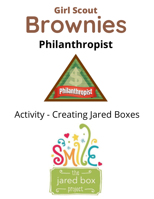

# Activity - Creating Jared Boxes

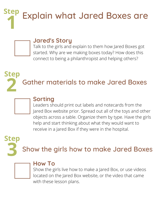**Step 1** Explain what Jared Boxes are



# **Jared's Story**

Talk to the girls and explain to them how Jared Boxes got started. Why are we making boxes today? How does this connect to being a philanthropist and helping others?





# **Sorting**

Leaders should print out labels and notecards from the Jared Box website prior. Spread out all of the toys and other objects across a table. Organize them by type. Have the girls help and start thinking about what they would want to receive in a Jared Box if they were in the hospital.

**3 Step** Show the girls how to make Jared Boxes



# **How To**

Show the girls live how to make a Jared Box, or use videos located on the Jared Box website, or the video that came with these lesson plans.